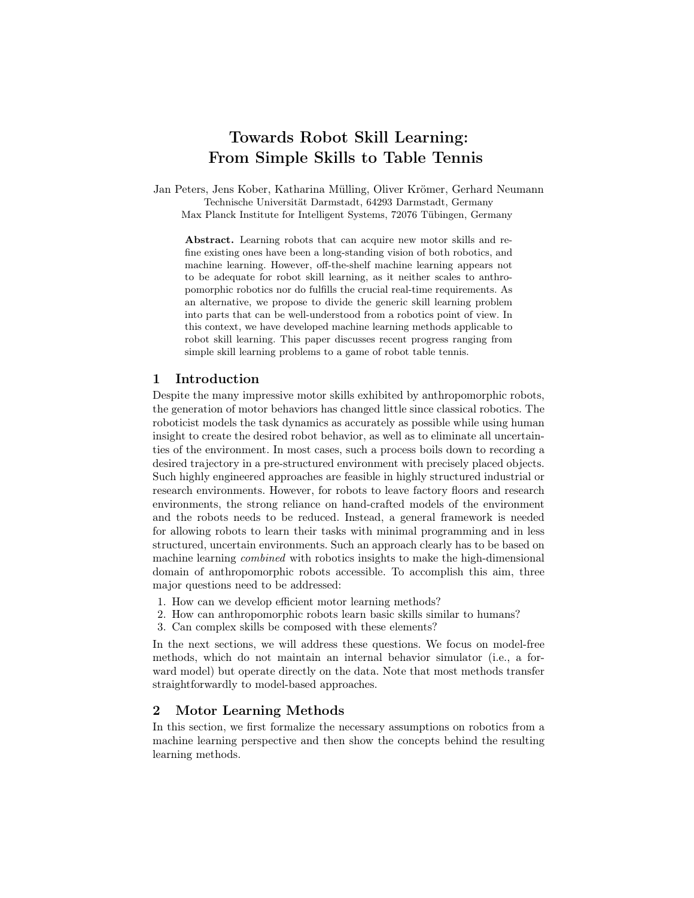# Towards Robot Skill Learning: From Simple Skills to Table Tennis

Jan Peters, Jens Kober, Katharina Mülling, Oliver Krömer, Gerhard Neumann Technische Universität Darmstadt, 64293 Darmstadt, Germany Max Planck Institute for Intelligent Systems, 72076 Tübingen, Germany

Abstract. Learning robots that can acquire new motor skills and refine existing ones have been a long-standing vision of both robotics, and machine learning. However, off-the-shelf machine learning appears not to be adequate for robot skill learning, as it neither scales to anthropomorphic robotics nor do fulfills the crucial real-time requirements. As an alternative, we propose to divide the generic skill learning problem into parts that can be well-understood from a robotics point of view. In this context, we have developed machine learning methods applicable to robot skill learning. This paper discusses recent progress ranging from simple skill learning problems to a game of robot table tennis.

## 1 Introduction

Despite the many impressive motor skills exhibited by anthropomorphic robots, the generation of motor behaviors has changed little since classical robotics. The roboticist models the task dynamics as accurately as possible while using human insight to create the desired robot behavior, as well as to eliminate all uncertainties of the environment. In most cases, such a process boils down to recording a desired trajectory in a pre-structured environment with precisely placed objects. Such highly engineered approaches are feasible in highly structured industrial or research environments. However, for robots to leave factory floors and research environments, the strong reliance on hand-crafted models of the environment and the robots needs to be reduced. Instead, a general framework is needed for allowing robots to learn their tasks with minimal programming and in less structured, uncertain environments. Such an approach clearly has to be based on machine learning combined with robotics insights to make the high-dimensional domain of anthropomorphic robots accessible. To accomplish this aim, three major questions need to be addressed:

- 1. How can we develop efficient motor learning methods?
- 2. How can anthropomorphic robots learn basic skills similar to humans?
- 3. Can complex skills be composed with these elements?

In the next sections, we will address these questions. We focus on model-free methods, which do not maintain an internal behavior simulator (i.e., a forward model) but operate directly on the data. Note that most methods transfer straightforwardly to model-based approaches.

# 2 Motor Learning Methods

In this section, we first formalize the necessary assumptions on robotics from a machine learning perspective and then show the concepts behind the resulting learning methods.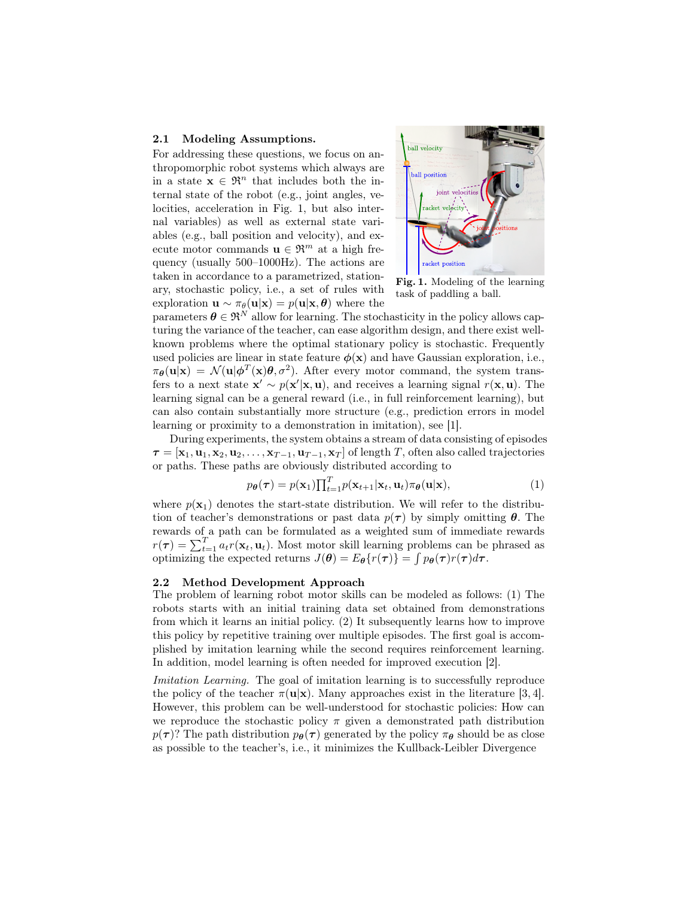#### 2.1 Modeling Assumptions.

For addressing these questions, we focus on anthropomorphic robot systems which always are in a state  $\mathbf{x} \in \mathbb{R}^n$  that includes both the internal state of the robot (e.g., joint angles, velocities, acceleration in Fig. 1, but also internal variables) as well as external state variables (e.g., ball position and velocity), and execute motor commands  $\mathbf{u} \in \mathfrak{R}^m$  at a high frequency (usually 500–1000Hz). The actions are taken in accordance to a parametrized, stationary, stochastic policy, i.e., a set of rules with exploration  $\mathbf{u} \sim \pi_{\theta}(\mathbf{u}|\mathbf{x}) = p(\mathbf{u}|\mathbf{x}, \theta)$  where the



Fig. 1. Modeling of the learning task of paddling a ball.

parameters  $\boldsymbol{\theta} \in \mathfrak{R}^N$  allow for learning. The stochasticity in the policy allows capturing the variance of the teacher, can ease algorithm design, and there exist wellknown problems where the optimal stationary policy is stochastic. Frequently used policies are linear in state feature  $\phi(\mathbf{x})$  and have Gaussian exploration, i.e.,  $\pi_{\theta}(\mathbf{u}|\mathbf{x}) = \mathcal{N}(\mathbf{u}|\phi^T(\mathbf{x})\theta, \sigma^2)$ . After every motor command, the system transfers to a next state  $\mathbf{x}' \sim p(\mathbf{x}'|\mathbf{x}, \mathbf{u})$ , and receives a learning signal  $r(\mathbf{x}, \mathbf{u})$ . The learning signal can be a general reward (i.e., in full reinforcement learning), but can also contain substantially more structure (e.g., prediction errors in model learning or proximity to a demonstration in imitation), see [1].

During experiments, the system obtains a stream of data consisting of episodes  $\tau = [\mathbf{x}_1, \mathbf{u}_1, \mathbf{x}_2, \mathbf{u}_2, \dots, \mathbf{x}_{T-1}, \mathbf{u}_{T-1}, \mathbf{x}_T]$  of length T, often also called trajectories or paths. These paths are obviously distributed according to

$$
p_{\theta}(\boldsymbol{\tau}) = p(\mathbf{x}_1) \prod_{t=1}^{T} p(\mathbf{x}_{t+1}|\mathbf{x}_t, \mathbf{u}_t) \pi_{\theta}(\mathbf{u}|\mathbf{x}),
$$
\n(1)

where  $p(\mathbf{x}_1)$  denotes the start-state distribution. We will refer to the distribution of teacher's demonstrations or past data  $p(\tau)$  by simply omitting  $\theta$ . The rewards of a path can be formulated as a weighted sum of immediate rewards  $r(\tau) = \sum_{t=1}^{T} a_t r(\mathbf{x}_t, \mathbf{u}_t)$ . Most motor skill learning problems can be phrased as optimizing the expected returns  $J(\theta) = E_{\theta} \{r(\tau)\} = \int p_{\theta}(\tau) r(\tau) d\tau$ .

#### 2.2 Method Development Approach

The problem of learning robot motor skills can be modeled as follows: (1) The robots starts with an initial training data set obtained from demonstrations from which it learns an initial policy. (2) It subsequently learns how to improve this policy by repetitive training over multiple episodes. The first goal is accomplished by imitation learning while the second requires reinforcement learning. In addition, model learning is often needed for improved execution [2].

Imitation Learning. The goal of imitation learning is to successfully reproduce the policy of the teacher  $\pi(\mathbf{u}|\mathbf{x})$ . Many approaches exist in the literature [3, 4]. However, this problem can be well-understood for stochastic policies: How can we reproduce the stochastic policy  $\pi$  given a demonstrated path distribution  $p(\tau)$ ? The path distribution  $p_{\theta}(\tau)$  generated by the policy  $\pi_{\theta}$  should be as close as possible to the teacher's, i.e., it minimizes the Kullback-Leibler Divergence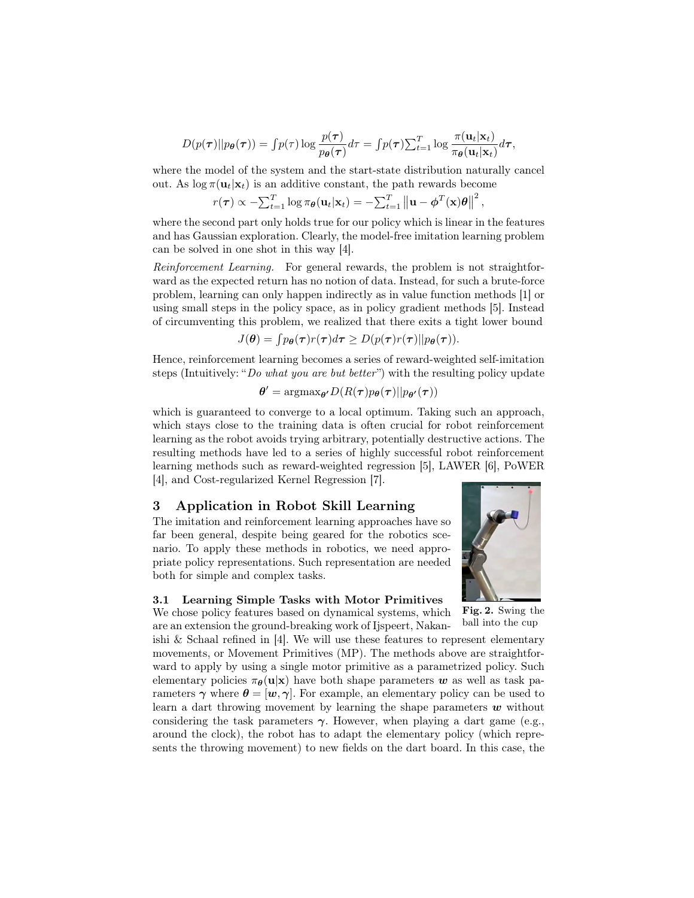$$
D(p(\boldsymbol{\tau})||p_{\boldsymbol{\theta}}(\boldsymbol{\tau})) = \int p(\tau) \log \frac{p(\boldsymbol{\tau})}{p_{\boldsymbol{\theta}}(\boldsymbol{\tau})} d\tau = \int p(\boldsymbol{\tau}) \sum_{t=1}^T \log \frac{\pi(\mathbf{u}_t|\mathbf{x}_t)}{\pi_{\boldsymbol{\theta}}(\mathbf{u}_t|\mathbf{x}_t)} d\boldsymbol{\tau},
$$

where the model of the system and the start-state distribution naturally cancel out. As  $\log \pi(\mathbf{u}_t|\mathbf{x}_t)$  is an additive constant, the path rewards become

$$
r(\boldsymbol{\tau}) \propto -\sum_{t=1}^{T} \log \pi_{\boldsymbol{\theta}}(\mathbf{u}_t|\mathbf{x}_t) = -\sum_{t=1}^{T} ||\mathbf{u} - \boldsymbol{\phi}^T(\mathbf{x})\boldsymbol{\theta}||^2,
$$

where the second part only holds true for our policy which is linear in the features and has Gaussian exploration. Clearly, the model-free imitation learning problem can be solved in one shot in this way [4].

Reinforcement Learning. For general rewards, the problem is not straightforward as the expected return has no notion of data. Instead, for such a brute-force problem, learning can only happen indirectly as in value function methods [1] or using small steps in the policy space, as in policy gradient methods [5]. Instead of circumventing this problem, we realized that there exits a tight lower bound

$$
J(\boldsymbol{\theta}) = \int p_{\boldsymbol{\theta}}(\boldsymbol{\tau}) r(\boldsymbol{\tau}) d\boldsymbol{\tau} \ge D(p(\boldsymbol{\tau}) r(\boldsymbol{\tau}) || p_{\boldsymbol{\theta}}(\boldsymbol{\tau})).
$$

Hence, reinforcement learning becomes a series of reward-weighted self-imitation steps (Intuitively: "Do what you are but better") with the resulting policy update

$$
\pmb{\theta}' = \text{argmax}_{\pmb{\theta}'} D(R(\pmb{\tau}) p_{\pmb{\theta}}(\pmb{\tau}) || p_{\pmb{\theta}'}(\pmb{\tau}))
$$

which is guaranteed to converge to a local optimum. Taking such an approach, which stays close to the training data is often crucial for robot reinforcement learning as the robot avoids trying arbitrary, potentially destructive actions. The resulting methods have led to a series of highly successful robot reinforcement learning methods such as reward-weighted regression [5], LAWER [6], PoWER [4], and Cost-regularized Kernel Regression [7].

# 3 Application in Robot Skill Learning

The imitation and reinforcement learning approaches have so far been general, despite being geared for the robotics scenario. To apply these methods in robotics, we need appropriate policy representations. Such representation are needed both for simple and complex tasks.

## 3.1 Learning Simple Tasks with Motor Primitives

We chose policy features based on dynamical systems, which



Fig. 2. Swing the ball into the cup

are an extension the ground-breaking work of Ijspeert, Nakanishi & Schaal refined in [4]. We will use these features to represent elementary movements, or Movement Primitives (MP). The methods above are straightforward to apply by using a single motor primitive as a parametrized policy. Such elementary policies  $\pi_{\theta}(\mathbf{u}|\mathbf{x})$  have both shape parameters w as well as task parameters  $\gamma$  where  $\theta = [\boldsymbol{w}, \gamma]$ . For example, an elementary policy can be used to learn a dart throwing movement by learning the shape parameters  $w$  without considering the task parameters  $\gamma$ . However, when playing a dart game (e.g., around the clock), the robot has to adapt the elementary policy (which represents the throwing movement) to new fields on the dart board. In this case, the